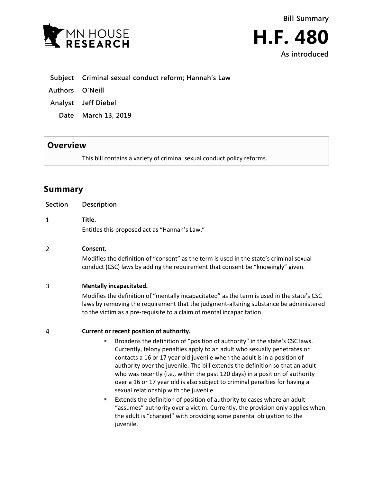

|  |  | Subject Criminal sexual conduct reform; Hannah's Law |  |
|--|--|------------------------------------------------------|--|
|--|--|------------------------------------------------------|--|

- **Authors O'Neill**
- **Analyst Jeff Diebel**
	- **Date March 13, 2019**

## **Overview**

This bill contains a variety of criminal sexual conduct policy reforms.

# **Summary**

| <b>Section</b> | <b>Description</b>                                                                                                                                                                                                                                                                                                                                                                                                                                                                                                                                                                                                                                                                                                                                                                                                                    |
|----------------|---------------------------------------------------------------------------------------------------------------------------------------------------------------------------------------------------------------------------------------------------------------------------------------------------------------------------------------------------------------------------------------------------------------------------------------------------------------------------------------------------------------------------------------------------------------------------------------------------------------------------------------------------------------------------------------------------------------------------------------------------------------------------------------------------------------------------------------|
| $\mathbf{1}$   | Title.<br>Entitles this proposed act as "Hannah's Law."                                                                                                                                                                                                                                                                                                                                                                                                                                                                                                                                                                                                                                                                                                                                                                               |
| 2              | Consent.<br>Modifies the definition of "consent" as the term is used in the state's criminal sexual<br>conduct (CSC) laws by adding the requirement that consent be "knowingly" given.                                                                                                                                                                                                                                                                                                                                                                                                                                                                                                                                                                                                                                                |
| 3              | <b>Mentally incapacitated.</b><br>Modifies the definition of "mentally incapacitated" as the term is used in the state's CSC<br>laws by removing the requirement that the judgment-altering substance be administered<br>to the victim as a pre-requisite to a claim of mental incapacitation.                                                                                                                                                                                                                                                                                                                                                                                                                                                                                                                                        |
| 4              | Current or recent position of authority.<br>Broadens the definition of "position of authority" in the state's CSC laws.<br>٠<br>Currently, felony penalties apply to an adult who sexually penetrates or<br>contacts a 16 or 17 year old juvenile when the adult is in a position of<br>authority over the juvenile. The bill extends the definition so that an adult<br>who was recently (i.e., within the past 120 days) in a position of authority<br>over a 16 or 17 year old is also subject to criminal penalties for having a<br>sexual relationship with the juvenile.<br>Extends the definition of position of authority to cases where an adult<br>٠<br>"assumes" authority over a victim. Currently, the provision only applies when<br>the adult is "charged" with providing some parental obligation to the<br>juvenile. |